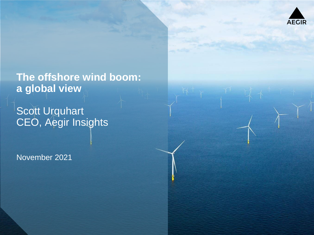

**The offshore wind boom: a global view**

Scott Urquhart CEO, Aegir Insights

November 2021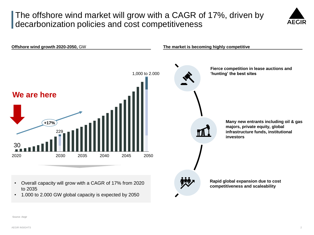# The offshore wind market will grow with a CAGR of 17%, driven by decarbonization policies and cost competitiveness





Source: Aegir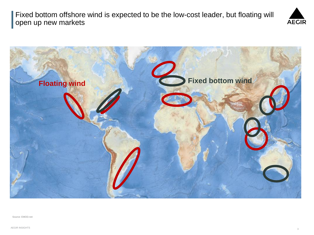Fixed bottom offshore wind is expected to be the low-cost leader, but floating will open up new markets





Source: EMOD.net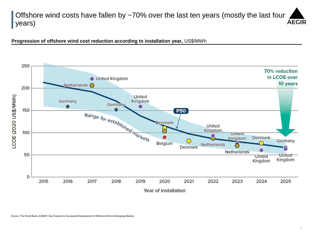#### Offshore wind costs have fallen by ~70% over the last ten years (mostly the last four **AEGIR** years)

**Progression of offshore wind cost reduction according to installation year,** US\$/MWh

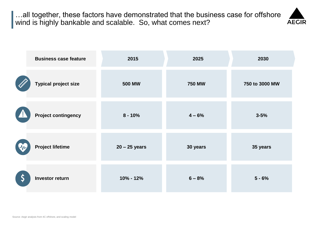…all together, these factors have demonstrated that the business case for offshore wind is highly bankable and scalable. So, what comes next?

**AEGIR** 

| <b>Business case feature</b> | 2015            | 2025          | 2030           |
|------------------------------|-----------------|---------------|----------------|
| <b>Typical project size</b>  | <b>500 MW</b>   | <b>750 MW</b> | 750 to 3000 MW |
| <b>Project contingency</b>   | $8 - 10%$       | $4 - 6%$      | $3 - 5%$       |
| <b>Project lifetime</b>      | $20 - 25$ years | 30 years      | 35 years       |
| <b>Investor return</b>       | $10\% - 12\%$   | $6 - 8%$      | $5 - 6%$       |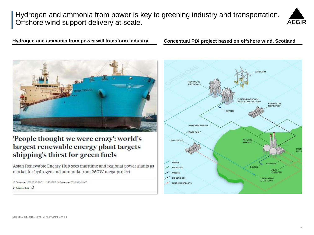Hydrogen and ammonia from power is key to greening industry and transportation. Offshore wind support delivery at scale.



**Hydrogen and ammonia from power will transform industry Conceptual PtX project based on offshore wind, Scotland**



### 'People thought we were crazy': world's largest renewable energy plant targets shipping's thirst for green fuels

Asian Renewable Energy Hub sees maritime and regional power giants as market for hydrogen and ammonia from 26GW mega-project

15 December 2020 17:13 GMT UPDATED 18 December 2020 10:18 GMT  $By Andrew Lee$   $Q$ 

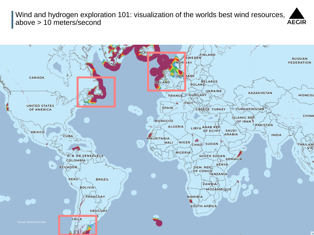Wind and hydrogen exploration 101: visualization of the worlds best wind resources, above > 10 meters/second

**AEGIR** 

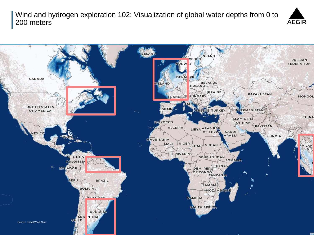Wind and hydrogen exploration 102: Visualization of global water depths from 0 to 200 meters



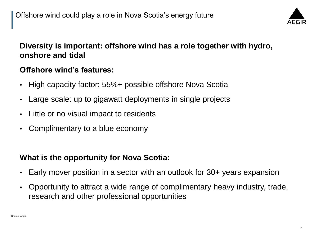

# **Diversity is important: offshore wind has a role together with hydro, onshore and tidal**

# **Offshore wind's features:**

- High capacity factor: 55%+ possible offshore Nova Scotia
- Large scale: up to gigawatt deployments in single projects
- Little or no visual impact to residents
- Complimentary to a blue economy

## **What is the opportunity for Nova Scotia:**

- Early mover position in a sector with an outlook for 30+ years expansion
- Opportunity to attract a wide range of complimentary heavy industry, trade, research and other professional opportunities